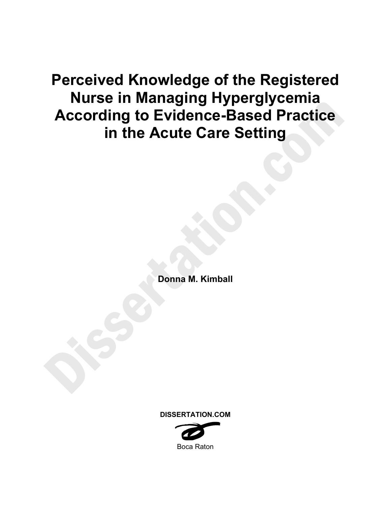**Perceived Knowledge of the Registered Nurse in Managing Hyperglycemia According to Evidence-Based Practice in the Acute Care Setting** 

**Donna M. Kimball** 

**DISSERTATION.COM** 

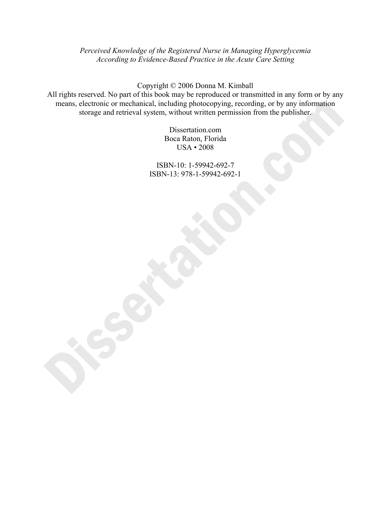*Perceived Knowledge of the Registered Nurse in Managing Hyperglycemia According to Evidence-Based Practice in the Acute Care Setting* 

Copyright © 2006 Donna M. Kimball

All rights reserved. No part of this book may be reproduced or transmitted in any form or by any means, electronic or mechanical, including photocopying, recording, or by any information storage and retrieval system, without written permission from the publisher.

> Dissertation.com Boca Raton, Florida USA • 2008

ISBN-10: 1-59942-692-7 ISBN-13: 978-1-59942-692-1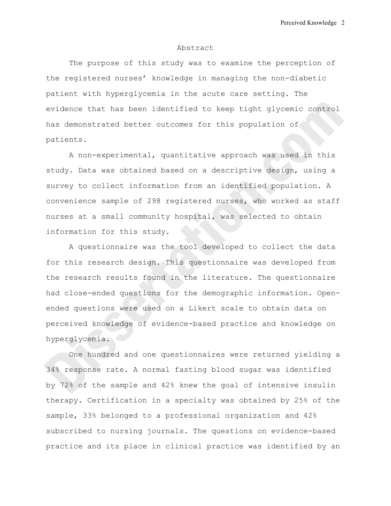#### Abstract

The purpose of this study was to examine the perception of the registered nurses' knowledge in managing the non-diabetic patient with hyperglycemia in the acute care setting. The evidence that has been identified to keep tight glycemic control has demonstrated better outcomes for this population of patients.

A non-experimental, quantitative approach was used in this study. Data was obtained based on a descriptive design, using a survey to collect information from an identified population. A convenience sample of 298 registered nurses, who worked as staff nurses at a small community hospital, was selected to obtain information for this study.

A questionnaire was the tool developed to collect the data for this research design. This questionnaire was developed from the research results found in the literature. The questionnaire had close-ended questions for the demographic information. Openended questions were used on a Likert scale to obtain data on perceived knowledge of evidence-based practice and knowledge on hyperglycemia.

One hundred and one questionnaires were returned yielding a 34% response rate. A normal fasting blood sugar was identified by 72% of the sample and 42% knew the goal of intensive insulin therapy. Certification in a specialty was obtained by 25% of the sample, 33% belonged to a professional organization and 42% subscribed to nursing journals. The questions on evidence-based practice and its place in clinical practice was identified by an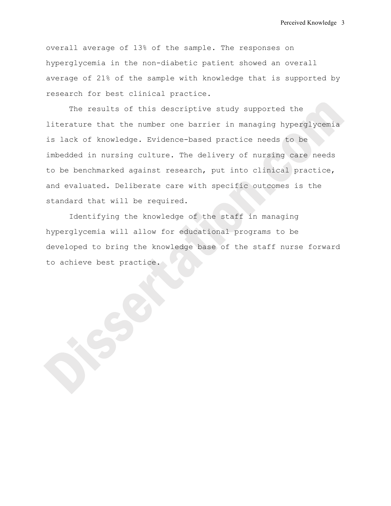overall average of 13% of the sample. The responses on hyperglycemia in the non-diabetic patient showed an overall average of 21% of the sample with knowledge that is supported by research for best clinical practice.

The results of this descriptive study supported the literature that the number one barrier in managing hyperglycemia is lack of knowledge. Evidence-based practice needs to be imbedded in nursing culture. The delivery of nursing care needs to be benchmarked against research, put into clinical practice, and evaluated. Deliberate care with specific outcomes is the standard that will be required.

Identifying the knowledge of the staff in managing hyperglycemia will allow for educational programs to be developed to bring the knowledge base of the staff nurse forward to achieve best practice.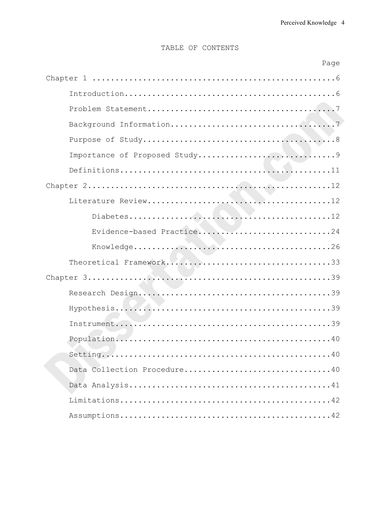# TABLE OF CONTENTS

| Page                        |
|-----------------------------|
|                             |
|                             |
|                             |
|                             |
|                             |
|                             |
|                             |
|                             |
|                             |
|                             |
| Evidence-based Practice24   |
|                             |
|                             |
|                             |
|                             |
|                             |
|                             |
|                             |
|                             |
| Data Collection Procedure40 |
|                             |
|                             |
|                             |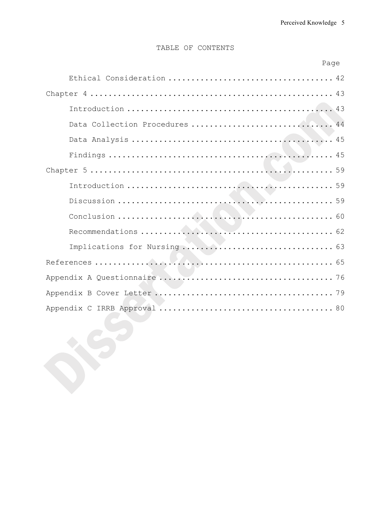# TABLE OF CONTENTS

|  | Page |
|--|------|
|  |      |

| Data Collection Procedures  44 |  |
|--------------------------------|--|
|                                |  |
|                                |  |
|                                |  |
|                                |  |
|                                |  |
|                                |  |
|                                |  |
|                                |  |
|                                |  |
|                                |  |
|                                |  |
|                                |  |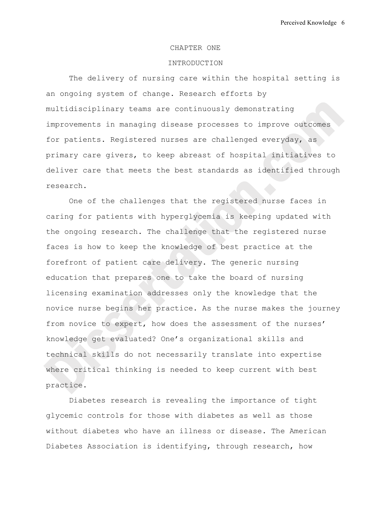#### CHAPTER ONE

#### INTRODUCTION

The delivery of nursing care within the hospital setting is an ongoing system of change. Research efforts by multidisciplinary teams are continuously demonstrating improvements in managing disease processes to improve outcomes for patients. Registered nurses are challenged everyday, as primary care givers, to keep abreast of hospital initiatives to deliver care that meets the best standards as identified through research.

One of the challenges that the registered nurse faces in caring for patients with hyperglycemia is keeping updated with the ongoing research. The challenge that the registered nurse faces is how to keep the knowledge of best practice at the forefront of patient care delivery. The generic nursing education that prepares one to take the board of nursing licensing examination addresses only the knowledge that the novice nurse begins her practice. As the nurse makes the journey from novice to expert, how does the assessment of the nurses' knowledge get evaluated? One's organizational skills and technical skills do not necessarily translate into expertise where critical thinking is needed to keep current with best practice.

Diabetes research is revealing the importance of tight glycemic controls for those with diabetes as well as those without diabetes who have an illness or disease. The American Diabetes Association is identifying, through research, how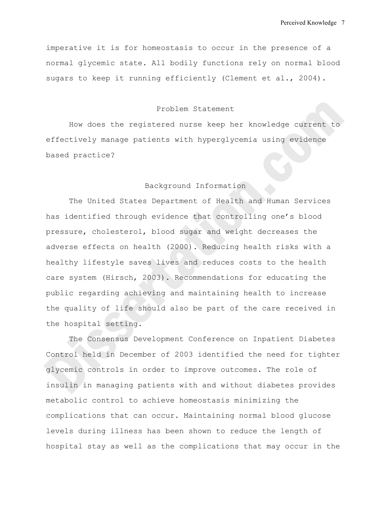imperative it is for homeostasis to occur in the presence of a normal glycemic state. All bodily functions rely on normal blood sugars to keep it running efficiently (Clement et al., 2004).

## Problem Statement

How does the registered nurse keep her knowledge current to effectively manage patients with hyperglycemia using evidence based practice?

#### Background Information

The United States Department of Health and Human Services has identified through evidence that controlling one's blood pressure, cholesterol, blood sugar and weight decreases the adverse effects on health (2000). Reducing health risks with a healthy lifestyle saves lives and reduces costs to the health care system (Hirsch, 2003). Recommendations for educating the public regarding achieving and maintaining health to increase the quality of life should also be part of the care received in the hospital setting.

The Consensus Development Conference on Inpatient Diabetes Control held in December of 2003 identified the need for tighter glycemic controls in order to improve outcomes. The role of insulin in managing patients with and without diabetes provides metabolic control to achieve homeostasis minimizing the complications that can occur. Maintaining normal blood glucose levels during illness has been shown to reduce the length of hospital stay as well as the complications that may occur in the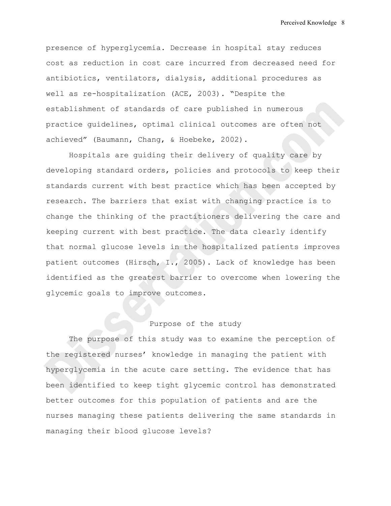presence of hyperglycemia. Decrease in hospital stay reduces cost as reduction in cost care incurred from decreased need for antibiotics, ventilators, dialysis, additional procedures as well as re-hospitalization (ACE, 2003). "Despite the establishment of standards of care published in numerous practice guidelines, optimal clinical outcomes are often not achieved" (Baumann, Chang, & Hoebeke, 2002).

Hospitals are guiding their delivery of quality care by developing standard orders, policies and protocols to keep their standards current with best practice which has been accepted by research. The barriers that exist with changing practice is to change the thinking of the practitioners delivering the care and keeping current with best practice. The data clearly identify that normal glucose levels in the hospitalized patients improves patient outcomes (Hirsch, I., 2005). Lack of knowledge has been identified as the greatest barrier to overcome when lowering the glycemic goals to improve outcomes.

# Purpose of the study

The purpose of this study was to examine the perception of the registered nurses' knowledge in managing the patient with hyperglycemia in the acute care setting. The evidence that has been identified to keep tight glycemic control has demonstrated better outcomes for this population of patients and are the nurses managing these patients delivering the same standards in managing their blood glucose levels?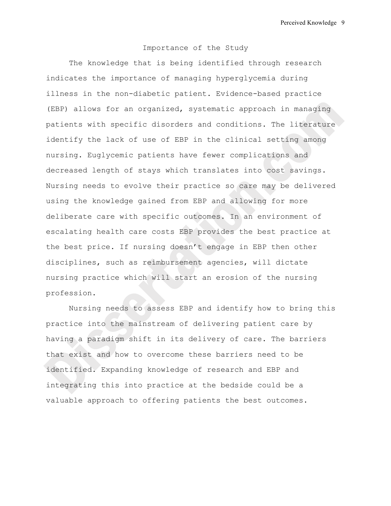## Importance of the Study

The knowledge that is being identified through research indicates the importance of managing hyperglycemia during illness in the non-diabetic patient. Evidence-based practice (EBP) allows for an organized, systematic approach in managing patients with specific disorders and conditions. The literature identify the lack of use of EBP in the clinical setting among nursing. Euglycemic patients have fewer complications and decreased length of stays which translates into cost savings. Nursing needs to evolve their practice so care may be delivered using the knowledge gained from EBP and allowing for more deliberate care with specific outcomes. In an environment of escalating health care costs EBP provides the best practice at the best price. If nursing doesn't engage in EBP then other disciplines, such as reimbursement agencies, will dictate nursing practice which will start an erosion of the nursing profession.

Nursing needs to assess EBP and identify how to bring this practice into the mainstream of delivering patient care by having a paradigm shift in its delivery of care. The barriers that exist and how to overcome these barriers need to be identified. Expanding knowledge of research and EBP and integrating this into practice at the bedside could be a valuable approach to offering patients the best outcomes.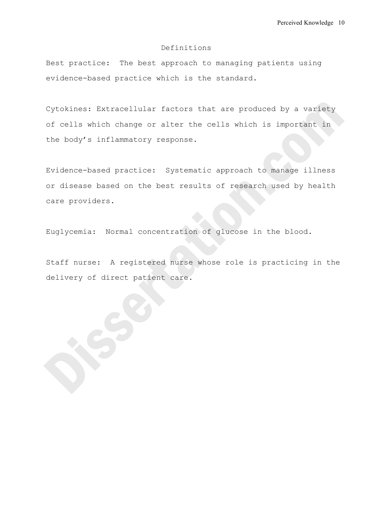## Definitions

Best practice: The best approach to managing patients using evidence-based practice which is the standard.

Cytokines: Extracellular factors that are produced by a variety of cells which change or alter the cells which is important in the body's inflammatory response.

Evidence-based practice: Systematic approach to manage illness or disease based on the best results of research used by health care providers.

Euglycemia: Normal concentration of glucose in the blood.

Staff nurse: A registered nurse whose role is practicing in the delivery of direct patient care.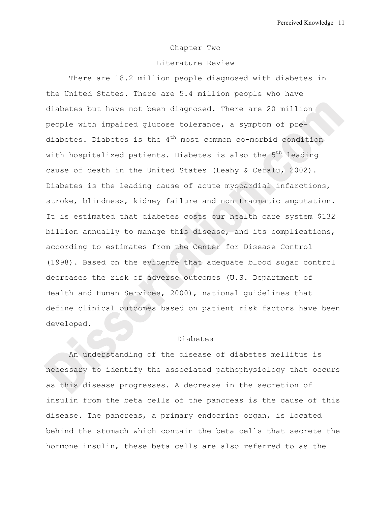#### Chapter Two

## Literature Review

There are 18.2 million people diagnosed with diabetes in the United States. There are 5.4 million people who have diabetes but have not been diagnosed. There are 20 million people with impaired glucose tolerance, a symptom of prediabetes. Diabetes is the  $4<sup>th</sup>$  most common co-morbid condition with hospitalized patients. Diabetes is also the  $5<sup>th</sup>$  leading cause of death in the United States (Leahy & Cefalu, 2002). Diabetes is the leading cause of acute myocardial infarctions, stroke, blindness, kidney failure and non-traumatic amputation. It is estimated that diabetes costs our health care system \$132 billion annually to manage this disease, and its complications, according to estimates from the Center for Disease Control (1998). Based on the evidence that adequate blood sugar control decreases the risk of adverse outcomes (U.S. Department of Health and Human Services, 2000), national guidelines that define clinical outcomes based on patient risk factors have been developed.

## Diabetes

An understanding of the disease of diabetes mellitus is necessary to identify the associated pathophysiology that occurs as this disease progresses. A decrease in the secretion of insulin from the beta cells of the pancreas is the cause of this disease. The pancreas, a primary endocrine organ, is located behind the stomach which contain the beta cells that secrete the hormone insulin, these beta cells are also referred to as the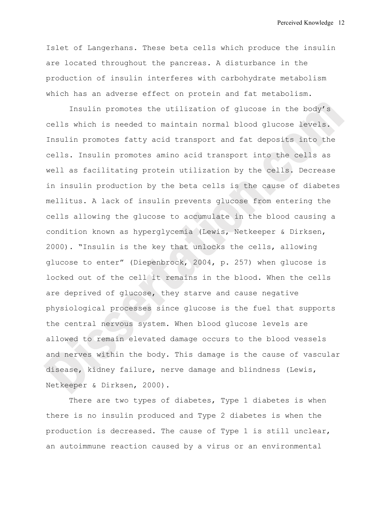Islet of Langerhans. These beta cells which produce the insulin are located throughout the pancreas. A disturbance in the production of insulin interferes with carbohydrate metabolism which has an adverse effect on protein and fat metabolism.

Insulin promotes the utilization of glucose in the body's cells which is needed to maintain normal blood glucose levels. Insulin promotes fatty acid transport and fat deposits into the cells. Insulin promotes amino acid transport into the cells as well as facilitating protein utilization by the cells. Decrease in insulin production by the beta cells is the cause of diabetes mellitus. A lack of insulin prevents glucose from entering the cells allowing the glucose to accumulate in the blood causing a condition known as hyperglycemia (Lewis, Netkeeper & Dirksen, 2000). "Insulin is the key that unlocks the cells, allowing glucose to enter" (Diepenbrock, 2004, p. 257) when glucose is locked out of the cell it remains in the blood. When the cells are deprived of glucose, they starve and cause negative physiological processes since glucose is the fuel that supports the central nervous system. When blood glucose levels are allowed to remain elevated damage occurs to the blood vessels and nerves within the body. This damage is the cause of vascular disease, kidney failure, nerve damage and blindness (Lewis, Netkeeper & Dirksen, 2000).

There are two types of diabetes, Type 1 diabetes is when there is no insulin produced and Type 2 diabetes is when the production is decreased. The cause of Type 1 is still unclear, an autoimmune reaction caused by a virus or an environmental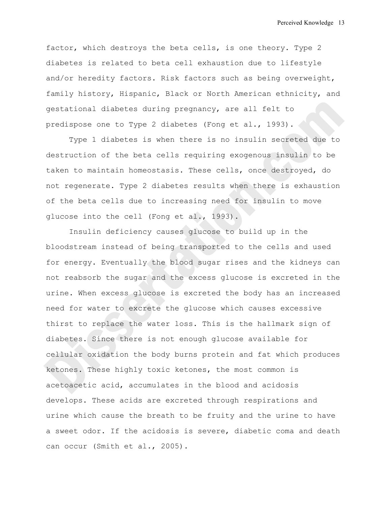factor, which destroys the beta cells, is one theory. Type 2 diabetes is related to beta cell exhaustion due to lifestyle and/or heredity factors. Risk factors such as being overweight, family history, Hispanic, Black or North American ethnicity, and gestational diabetes during pregnancy, are all felt to predispose one to Type 2 diabetes (Fong et al., 1993).

Type 1 diabetes is when there is no insulin secreted due to destruction of the beta cells requiring exogenous insulin to be taken to maintain homeostasis. These cells, once destroyed, do not regenerate. Type 2 diabetes results when there is exhaustion of the beta cells due to increasing need for insulin to move glucose into the cell (Fong et al., 1993).

Insulin deficiency causes glucose to build up in the bloodstream instead of being transported to the cells and used for energy. Eventually the blood sugar rises and the kidneys can not reabsorb the sugar and the excess glucose is excreted in the urine. When excess glucose is excreted the body has an increased need for water to excrete the glucose which causes excessive thirst to replace the water loss. This is the hallmark sign of diabetes. Since there is not enough glucose available for cellular oxidation the body burns protein and fat which produces ketones. These highly toxic ketones, the most common is acetoacetic acid, accumulates in the blood and acidosis develops. These acids are excreted through respirations and urine which cause the breath to be fruity and the urine to have a sweet odor. If the acidosis is severe, diabetic coma and death can occur (Smith et al., 2005).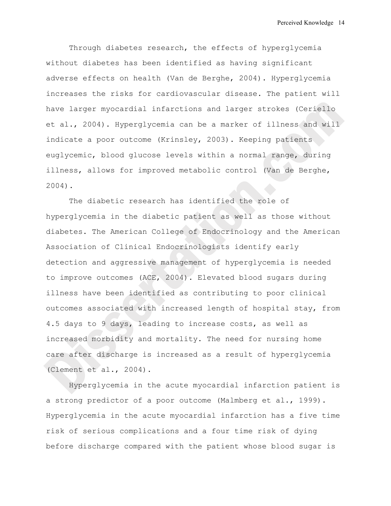Through diabetes research, the effects of hyperglycemia without diabetes has been identified as having significant adverse effects on health (Van de Berghe, 2004). Hyperglycemia increases the risks for cardiovascular disease. The patient will have larger myocardial infarctions and larger strokes (Ceriello et al., 2004). Hyperglycemia can be a marker of illness and will indicate a poor outcome (Krinsley, 2003). Keeping patients euglycemic, blood glucose levels within a normal range, during illness, allows for improved metabolic control (Van de Berghe, 2004).

The diabetic research has identified the role of hyperglycemia in the diabetic patient as well as those without diabetes. The American College of Endocrinology and the American Association of Clinical Endocrinologists identify early detection and aggressive management of hyperglycemia is needed to improve outcomes (ACE, 2004). Elevated blood sugars during illness have been identified as contributing to poor clinical outcomes associated with increased length of hospital stay, from 4.5 days to 9 days, leading to increase costs, as well as increased morbidity and mortality. The need for nursing home care after discharge is increased as a result of hyperglycemia (Clement et al., 2004).

Hyperglycemia in the acute myocardial infarction patient is a strong predictor of a poor outcome (Malmberg et al., 1999). Hyperglycemia in the acute myocardial infarction has a five time risk of serious complications and a four time risk of dying before discharge compared with the patient whose blood sugar is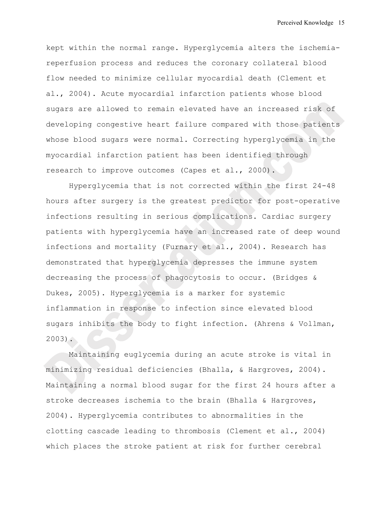kept within the normal range. Hyperglycemia alters the ischemiareperfusion process and reduces the coronary collateral blood flow needed to minimize cellular myocardial death (Clement et al., 2004). Acute myocardial infarction patients whose blood sugars are allowed to remain elevated have an increased risk of developing congestive heart failure compared with those patients whose blood sugars were normal. Correcting hyperglycemia in the myocardial infarction patient has been identified through research to improve outcomes (Capes et al., 2000).

Hyperglycemia that is not corrected within the first 24-48 hours after surgery is the greatest predictor for post-operative infections resulting in serious complications. Cardiac surgery patients with hyperglycemia have an increased rate of deep wound infections and mortality (Furnary et al., 2004). Research has demonstrated that hyperglycemia depresses the immune system decreasing the process of phagocytosis to occur. (Bridges & Dukes, 2005). Hyperglycemia is a marker for systemic inflammation in response to infection since elevated blood sugars inhibits the body to fight infection. (Ahrens & Vollman, 2003).

Maintaining euglycemia during an acute stroke is vital in minimizing residual deficiencies (Bhalla, & Hargroves, 2004). Maintaining a normal blood sugar for the first 24 hours after a stroke decreases ischemia to the brain (Bhalla & Hargroves, 2004). Hyperglycemia contributes to abnormalities in the clotting cascade leading to thrombosis (Clement et al., 2004) which places the stroke patient at risk for further cerebral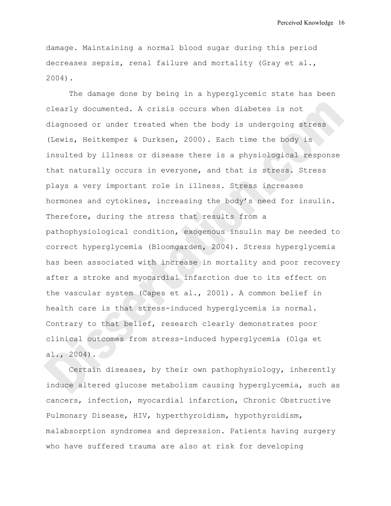damage. Maintaining a normal blood sugar during this period decreases sepsis, renal failure and mortality (Gray et al., 2004).

The damage done by being in a hyperglycemic state has been clearly documented. A crisis occurs when diabetes is not diagnosed or under treated when the body is undergoing stress (Lewis, Heitkemper & Durksen, 2000). Each time the body is insulted by illness or disease there is a physiological response that naturally occurs in everyone, and that is stress. Stress plays a very important role in illness. Stress increases hormones and cytokines, increasing the body's need for insulin. Therefore, during the stress that results from a pathophysiological condition, exogenous insulin may be needed to correct hyperglycemia (Bloomgarden, 2004). Stress hyperglycemia has been associated with increase in mortality and poor recovery after a stroke and myocardial infarction due to its effect on the vascular system (Capes et al., 2001). A common belief in health care is that stress-induced hyperglycemia is normal. Contrary to that belief, research clearly demonstrates poor clinical outcomes from stress-induced hyperglycemia (Olga et al., 2004).

Certain diseases, by their own pathophysiology, inherently induce altered glucose metabolism causing hyperglycemia, such as cancers, infection, myocardial infarction, Chronic Obstructive Pulmonary Disease, HIV, hyperthyroidism, hypothyroidism, malabsorption syndromes and depression. Patients having surgery who have suffered trauma are also at risk for developing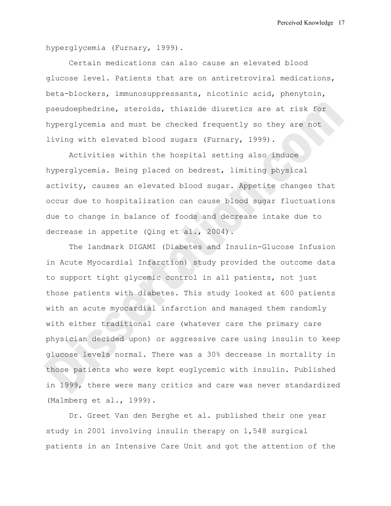hyperglycemia (Furnary, 1999).

Certain medications can also cause an elevated blood glucose level. Patients that are on antiretroviral medications, beta-blockers, immunosuppressants, nicotinic acid, phenytoin, pseudoephedrine, steroids, thiazide diuretics are at risk for hyperglycemia and must be checked frequently so they are not living with elevated blood sugars (Furnary, 1999).

Activities within the hospital setting also induce hyperglycemia. Being placed on bedrest, limiting physical activity, causes an elevated blood sugar. Appetite changes that occur due to hospitalization can cause blood sugar fluctuations due to change in balance of foods and decrease intake due to decrease in appetite (Qing et al., 2004).

The landmark DIGAMI (Diabetes and Insulin-Glucose Infusion in Acute Myocardial Infarction) study provided the outcome data to support tight glycemic control in all patients, not just those patients with diabetes. This study looked at 600 patients with an acute myocardial infarction and managed them randomly with either traditional care (whatever care the primary care physician decided upon) or aggressive care using insulin to keep glucose levels normal. There was a 30% decrease in mortality in those patients who were kept euglycemic with insulin. Published in 1999, there were many critics and care was never standardized (Malmberg et al., 1999).

Dr. Greet Van den Berghe et al. published their one year study in 2001 involving insulin therapy on 1,548 surgical patients in an Intensive Care Unit and got the attention of the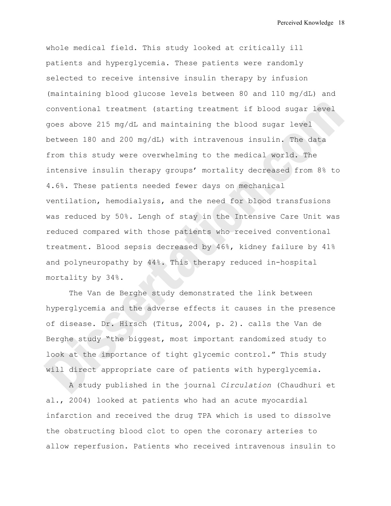whole medical field. This study looked at critically ill patients and hyperglycemia. These patients were randomly selected to receive intensive insulin therapy by infusion (maintaining blood glucose levels between 80 and 110 mg/dL) and conventional treatment (starting treatment if blood sugar level goes above 215 mg/dL and maintaining the blood sugar level between 180 and 200 mg/dL) with intravenous insulin. The data from this study were overwhelming to the medical world. The intensive insulin therapy groups' mortality decreased from 8% to 4.6%. These patients needed fewer days on mechanical ventilation, hemodialysis, and the need for blood transfusions was reduced by 50%. Lengh of stay in the Intensive Care Unit was reduced compared with those patients who received conventional treatment. Blood sepsis decreased by 46%, kidney failure by 41% and polyneuropathy by 44%. This therapy reduced in-hospital mortality by 34%.

The Van de Berghe study demonstrated the link between hyperglycemia and the adverse effects it causes in the presence of disease. Dr. Hirsch (Titus, 2004, p. 2). calls the Van de Berghe study "the biggest, most important randomized study to look at the importance of tight glycemic control." This study will direct appropriate care of patients with hyperglycemia.

A study published in the journal *Circulation* (Chaudhuri et al., 2004) looked at patients who had an acute myocardial infarction and received the drug TPA which is used to dissolve the obstructing blood clot to open the coronary arteries to allow reperfusion. Patients who received intravenous insulin to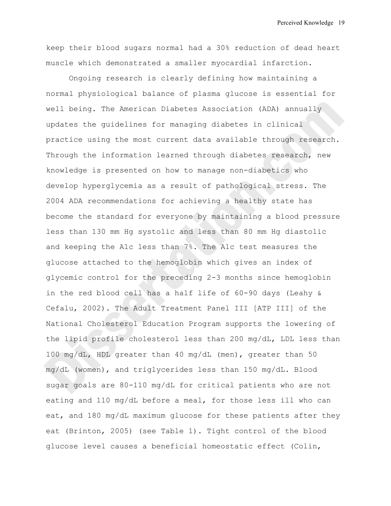keep their blood sugars normal had a 30% reduction of dead heart muscle which demonstrated a smaller myocardial infarction.

Ongoing research is clearly defining how maintaining a normal physiological balance of plasma glucose is essential for well being. The American Diabetes Association (ADA) annually updates the guidelines for managing diabetes in clinical practice using the most current data available through research. Through the information learned through diabetes research, new knowledge is presented on how to manage non-diabetics who develop hyperglycemia as a result of pathological stress. The 2004 ADA recommendations for achieving a healthy state has become the standard for everyone by maintaining a blood pressure less than 130 mm Hg systolic and less than 80 mm Hg diastolic and keeping the A1c less than 7%. The A1c test measures the glucose attached to the hemoglobin which gives an index of glycemic control for the preceding 2-3 months since hemoglobin in the red blood cell has a half life of 60-90 days (Leahy & Cefalu, 2002). The Adult Treatment Panel III [ATP III] of the National Cholesterol Education Program supports the lowering of the lipid profile cholesterol less than 200 mg/dL, LDL less than 100 mg/dL, HDL greater than 40 mg/dL (men), greater than 50 mg/dL (women), and triglycerides less than 150 mg/dL. Blood sugar goals are 80-110 mg/dL for critical patients who are not eating and 110 mg/dL before a meal, for those less ill who can eat, and 180 mg/dL maximum glucose for these patients after they eat (Brinton, 2005) (see Table 1). Tight control of the blood glucose level causes a beneficial homeostatic effect (Colin,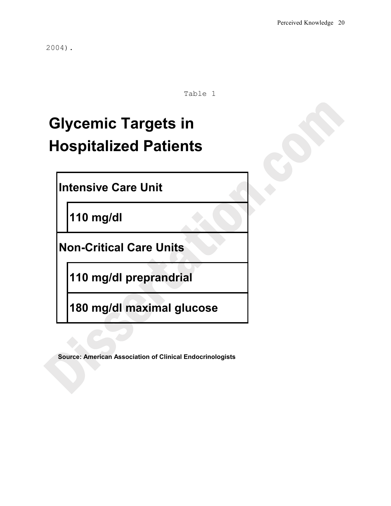2004).

Table 1

# **Glycemic Targets in Hospitalized Patients**

**Intensive Care Unit**

**110 mg/dl**

**Non-Critical Care Units**

**110 mg/dl preprandrial**

**180 mg/dl maximal glucose**

**Source: American Association of Clinical Endocrinologists**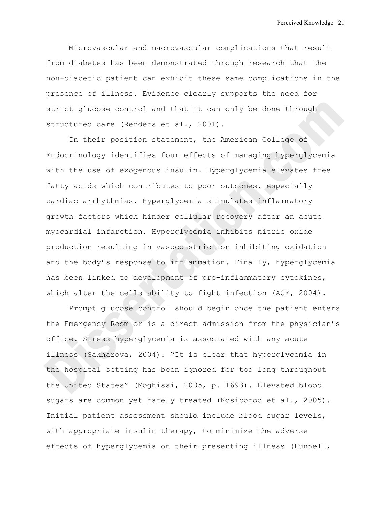Microvascular and macrovascular complications that result from diabetes has been demonstrated through research that the non-diabetic patient can exhibit these same complications in the presence of illness. Evidence clearly supports the need for strict glucose control and that it can only be done through structured care (Renders et al., 2001).

In their position statement, the American College of Endocrinology identifies four effects of managing hyperglycemia with the use of exogenous insulin. Hyperglycemia elevates free fatty acids which contributes to poor outcomes, especially cardiac arrhythmias. Hyperglycemia stimulates inflammatory growth factors which hinder cellular recovery after an acute myocardial infarction. Hyperglycemia inhibits nitric oxide production resulting in vasoconstriction inhibiting oxidation and the body's response to inflammation. Finally, hyperglycemia has been linked to development of pro-inflammatory cytokines, which alter the cells ability to fight infection (ACE, 2004).

Prompt glucose control should begin once the patient enters the Emergency Room or is a direct admission from the physician's office. Stress hyperglycemia is associated with any acute illness (Sakharova, 2004). "It is clear that hyperglycemia in the hospital setting has been ignored for too long throughout the United States" (Moghissi, 2005, p. 1693). Elevated blood sugars are common yet rarely treated (Kosiborod et al., 2005). Initial patient assessment should include blood sugar levels, with appropriate insulin therapy, to minimize the adverse effects of hyperglycemia on their presenting illness (Funnell,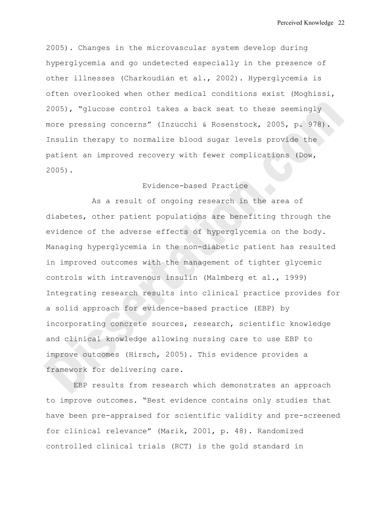2005). Changes in the microvascular system develop during hyperglycemia and go undetected especially in the presence of other illnesses (Charkoudian et al., 2002). Hyperglycemia is often overlooked when other medical conditions exist (Moghissi, 2005), "glucose control takes a back seat to these seemingly more pressing concerns" (Inzucchi & Rosenstock, 2005, p. 978). Insulin therapy to normalize blood sugar levels provide the patient an improved recovery with fewer complications (Dow, 2005).

## Evidence-based Practice

As a result of ongoing research in the area of diabetes, other patient populations are benefiting through the evidence of the adverse effects of hyperglycemia on the body. Managing hyperglycemia in the non-diabetic patient has resulted in improved outcomes with the management of tighter glycemic controls with intravenous insulin (Malmberg et al., 1999) Integrating research results into clinical practice provides for a solid approach for evidence-based practice (EBP) by incorporating concrete sources, research, scientific knowledge and clinical knowledge allowing nursing care to use EBP to improve outcomes (Hirsch, 2005). This evidence provides a framework for delivering care.

 EBP results from research which demonstrates an approach to improve outcomes. "Best evidence contains only studies that have been pre-appraised for scientific validity and pre-screened for clinical relevance" (Marik, 2001, p. 48). Randomized controlled clinical trials (RCT) is the gold standard in